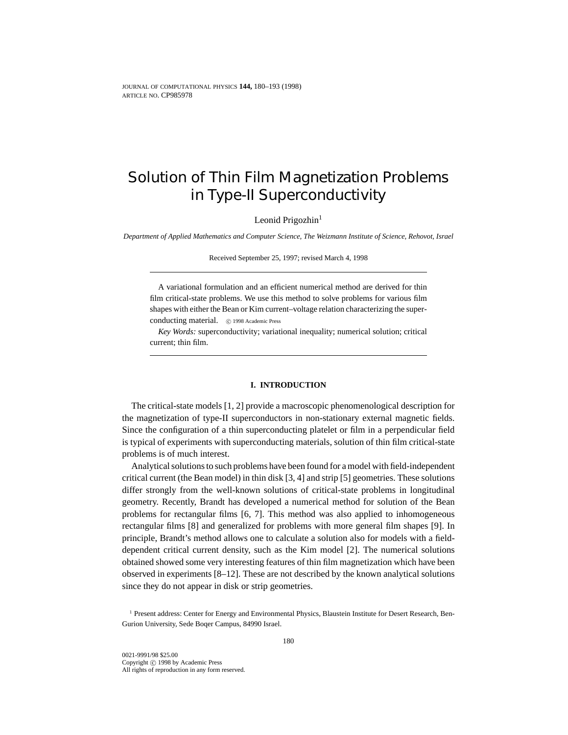# Solution of Thin Film Magnetization Problems in Type-II Superconductivity

Leonid Prigozhin<sup>1</sup>

*Department of Applied Mathematics and Computer Science, The Weizmann Institute of Science, Rehovot, Israel*

Received September 25, 1997; revised March 4, 1998

A variational formulation and an efficient numerical method are derived for thin film critical-state problems. We use this method to solve problems for various film shapes with either the Bean or Kim current–voltage relation characterizing the superconducting material.  $\circ$  1998 Academic Press

*Key Words:* superconductivity; variational inequality; numerical solution; critical current; thin film.

## **I. INTRODUCTION**

The critical-state models [1, 2] provide a macroscopic phenomenological description for the magnetization of type-II superconductors in non-stationary external magnetic fields. Since the configuration of a thin superconducting platelet or film in a perpendicular field is typical of experiments with superconducting materials, solution of thin film critical-state problems is of much interest.

Analytical solutions to such problems have been found for a model with field-independent critical current (the Bean model) in thin disk [3, 4] and strip [5] geometries. These solutions differ strongly from the well-known solutions of critical-state problems in longitudinal geometry. Recently, Brandt has developed a numerical method for solution of the Bean problems for rectangular films [6, 7]. This method was also applied to inhomogeneous rectangular films [8] and generalized for problems with more general film shapes [9]. In principle, Brandt's method allows one to calculate a solution also for models with a fielddependent critical current density, such as the Kim model [2]. The numerical solutions obtained showed some very interesting features of thin film magnetization which have been observed in experiments [8–12]. These are not described by the known analytical solutions since they do not appear in disk or strip geometries.

<sup>1</sup> Present address: Center for Energy and Environmental Physics, Blaustein Institute for Desert Research, Ben-Gurion University, Sede Boqer Campus, 84990 Israel.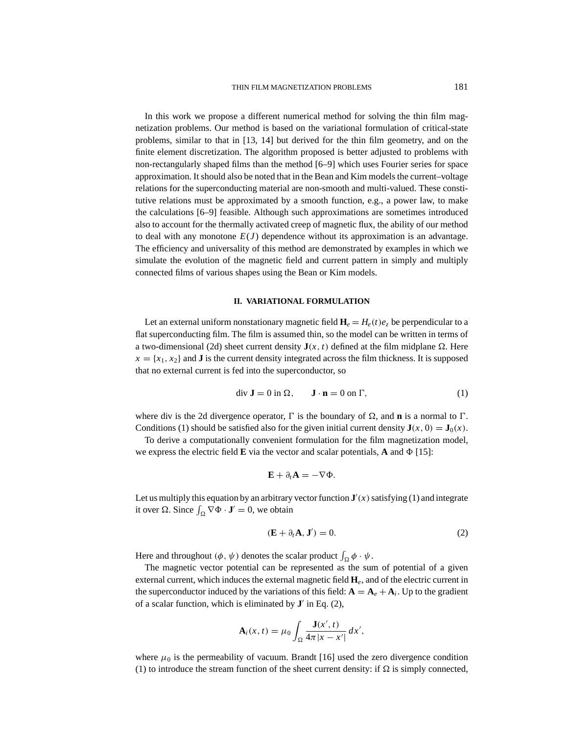In this work we propose a different numerical method for solving the thin film magnetization problems. Our method is based on the variational formulation of critical-state problems, similar to that in [13, 14] but derived for the thin film geometry, and on the finite element discretization. The algorithm proposed is better adjusted to problems with non-rectangularly shaped films than the method [6–9] which uses Fourier series for space approximation. It should also be noted that in the Bean and Kim models the current–voltage relations for the superconducting material are non-smooth and multi-valued. These constitutive relations must be approximated by a smooth function, e.g., a power law, to make the calculations [6–9] feasible. Although such approximations are sometimes introduced also to account for the thermally activated creep of magnetic flux, the ability of our method to deal with any monotone  $E(J)$  dependence without its approximation is an advantage. The efficiency and universality of this method are demonstrated by examples in which we simulate the evolution of the magnetic field and current pattern in simply and multiply connected films of various shapes using the Bean or Kim models.

## **II. VARIATIONAL FORMULATION**

Let an external uniform nonstationary magnetic field  $H_e = H_e(t)e_\tau$  be perpendicular to a flat superconducting film. The film is assumed thin, so the model can be written in terms of a two-dimensional (2d) sheet current density  $J(x, t)$  defined at the film midplane  $\Omega$ . Here  $x = \{x_1, x_2\}$  and **J** is the current density integrated across the film thickness. It is supposed that no external current is fed into the superconductor, so

$$
\operatorname{div} \mathbf{J} = 0 \text{ in } \Omega, \qquad \mathbf{J} \cdot \mathbf{n} = 0 \text{ on } \Gamma,
$$
 (1)

where div is the 2d divergence operator,  $\Gamma$  is the boundary of  $\Omega$ , and **n** is a normal to  $\Gamma$ . Conditions (1) should be satisfied also for the given initial current density  $\mathbf{J}(x, 0) = \mathbf{J}_0(x)$ .

To derive a computationally convenient formulation for the film magnetization model, we express the electric field  $\bf{E}$  via the vector and scalar potentials,  $\bf{A}$  and  $\Phi$  [15]:

$$
\mathbf{E} + \partial_t \mathbf{A} = -\nabla \Phi.
$$

Let us multiply this equation by an arbitrary vector function  $J'(x)$  satisfying (1) and integrate it over  $\Omega$ . Since  $\int_{\Omega} \nabla \Phi \cdot \mathbf{J}' = 0$ , we obtain

$$
(\mathbf{E} + \partial_t \mathbf{A}, \mathbf{J}') = 0. \tag{2}
$$

Here and throughout  $(\phi, \psi)$  denotes the scalar product  $\int_{\Omega} \phi \cdot \psi$ .

The magnetic vector potential can be represented as the sum of potential of a given external current, which induces the external magnetic field **H***e*, and of the electric current in the superconductor induced by the variations of this field:  $\mathbf{A} = \mathbf{A}_e + \mathbf{A}_i$ . Up to the gradient of a scalar function, which is eliminated by  $\mathbf{J}'$  in Eq. (2),

$$
\mathbf{A}_i(x,t) = \mu_0 \int_{\Omega} \frac{\mathbf{J}(x',t)}{4\pi |x-x'|} dx',
$$

where  $\mu_0$  is the permeability of vacuum. Brandt [16] used the zero divergence condition (1) to introduce the stream function of the sheet current density: if  $\Omega$  is simply connected,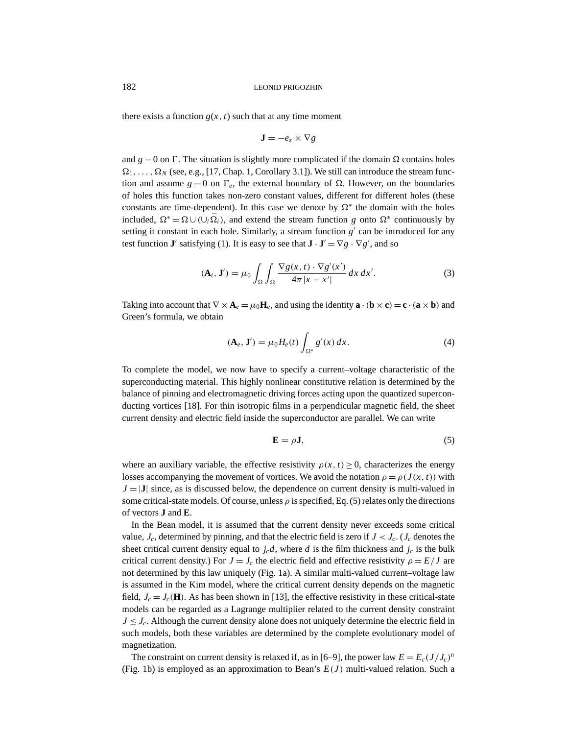there exists a function  $g(x, t)$  such that at any time moment

$$
\mathbf{J} = -e_z \times \nabla g
$$

and  $g = 0$  on  $\Gamma$ . The situation is slightly more complicated if the domain  $\Omega$  contains holes  $\Omega_1, \ldots, \Omega_N$  (see, e.g., [17, Chap. 1, Corollary 3.1]). We still can introduce the stream function and assume  $g = 0$  on  $\Gamma_e$ , the external boundary of  $\Omega$ . However, on the boundaries of holes this function takes non-zero constant values, different for different holes (these constants are time-dependent). In this case we denote by  $\Omega^*$  the domain with the holes included,  $\Omega^* = \Omega \cup (\cup_i \overline{\Omega}_i)$ , and extend the stream function *g* onto  $\Omega^*$  continuously by setting it constant in each hole. Similarly, a stream function  $g'$  can be introduced for any test function **J**<sup>*'*</sup> satisfying (1). It is easy to see that  $\mathbf{J} \cdot \mathbf{J}' = \nabla g \cdot \nabla g'$ , and so

$$
(\mathbf{A}_i, \mathbf{J}') = \mu_0 \int_{\Omega} \int_{\Omega} \frac{\nabla g(x, t) \cdot \nabla g'(x')}{4\pi |x - x'|} dx dx'.
$$
 (3)

Taking into account that  $\nabla \times \mathbf{A}_e = \mu_0 \mathbf{H}_e$ , and using the identity  $\mathbf{a} \cdot (\mathbf{b} \times \mathbf{c}) = \mathbf{c} \cdot (\mathbf{a} \times \mathbf{b})$  and Green's formula, we obtain

$$
(\mathbf{A}_e, \mathbf{J}') = \mu_0 H_e(t) \int_{\Omega^*} g'(x) dx.
$$
 (4)

To complete the model, we now have to specify a current–voltage characteristic of the superconducting material. This highly nonlinear constitutive relation is determined by the balance of pinning and electromagnetic driving forces acting upon the quantized superconducting vortices [18]. For thin isotropic films in a perpendicular magnetic field, the sheet current density and electric field inside the superconductor are parallel. We can write

$$
\mathbf{E} = \rho \mathbf{J},\tag{5}
$$

where an auxiliary variable, the effective resistivity  $\rho(x, t) \ge 0$ , characterizes the energy losses accompanying the movement of vortices. We avoid the notation  $\rho = \rho(J(x, t))$  with  $J = |J|$  since, as is discussed below, the dependence on current density is multi-valued in some critical-state models. Of course, unless  $\rho$  is specified, Eq. (5) relates only the directions of vectors **J** and **E**.

In the Bean model, it is assumed that the current density never exceeds some critical value,  $J_c$ , determined by pinning, and that the electric field is zero if  $J < J_c$ . ( $J_c$  denotes the sheet critical current density equal to  $j_c d$ , where *d* is the film thickness and  $j_c$  is the bulk critical current density.) For  $J = J_c$  the electric field and effective resistivity  $\rho = E/J$  are not determined by this law uniquely (Fig. 1a). A similar multi-valued current–voltage law is assumed in the Kim model, where the critical current density depends on the magnetic field,  $J_c = J_c(\mathbf{H})$ . As has been shown in [13], the effective resistivity in these critical-state models can be regarded as a Lagrange multiplier related to the current density constraint  $J \leq J_c$ . Although the current density alone does not uniquely determine the electric field in such models, both these variables are determined by the complete evolutionary model of magnetization.

The constraint on current density is relaxed if, as in [6–9], the power law  $E = E_c (J/J_c)^n$ (Fig. 1b) is employed as an approximation to Bean's  $E(J)$  multi-valued relation. Such a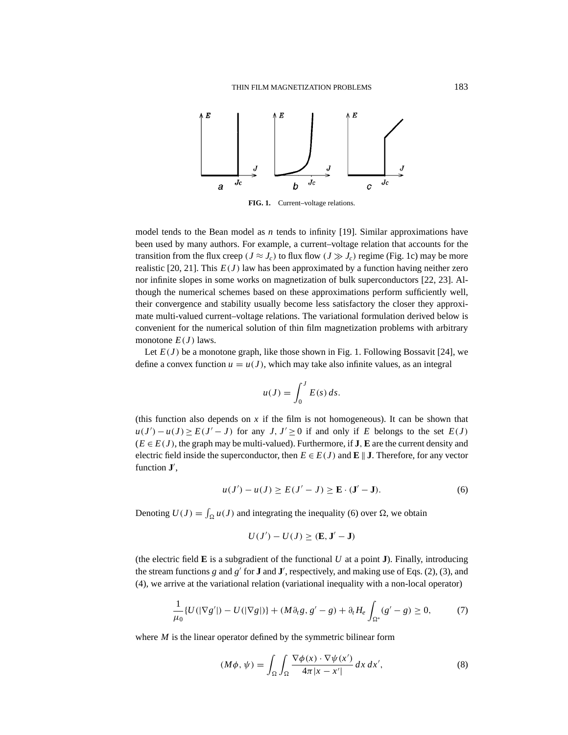

**FIG. 1.** Current–voltage relations.

model tends to the Bean model as *n* tends to infinity [19]. Similar approximations have been used by many authors. For example, a current–voltage relation that accounts for the transition from the flux creep ( $J \approx J_c$ ) to flux flow ( $J \gg J_c$ ) regime (Fig. 1c) may be more realistic [20, 21]. This  $E(J)$  law has been approximated by a function having neither zero nor infinite slopes in some works on magnetization of bulk superconductors [22, 23]. Although the numerical schemes based on these approximations perform sufficiently well, their convergence and stability usually become less satisfactory the closer they approximate multi-valued current–voltage relations. The variational formulation derived below is convenient for the numerical solution of thin film magnetization problems with arbitrary monotone  $E(J)$  laws.

Let  $E(J)$  be a monotone graph, like those shown in Fig. 1. Following Bossavit [24], we define a convex function  $u = u(J)$ , which may take also infinite values, as an integral

$$
u(J) = \int_0^J E(s) \, ds.
$$

(this function also depends on  $x$  if the film is not homogeneous). It can be shown that  $u(J') - u(J) \ge E(J' - J)$  for any *J*,  $J' \ge 0$  if and only if *E* belongs to the set  $E(J)$  $(E \in E(J))$ , the graph may be multi-valued). Furthermore, if **J**, **E** are the current density and electric field inside the superconductor, then  $E \in E(J)$  and  $E \parallel J$ . Therefore, for any vector function **J**<sup>'</sup>,

$$
u(J') - u(J) \ge E(J' - J) \ge E \cdot (J' - J).
$$
 (6)

Denoting  $U(J) = \int_{\Omega} u(J)$  and integrating the inequality (6) over  $\Omega$ , we obtain

$$
U(J') - U(J) \geq (\mathbf{E}, \mathbf{J}' - \mathbf{J})
$$

(the electric field  $\bf{E}$  is a subgradient of the functional  $U$  at a point  $\bf{J}$ ). Finally, introducing the stream functions  $g$  and  $g'$  for **J** and **J**', respectively, and making use of Eqs. (2), (3), and (4), we arrive at the variational relation (variational inequality with a non-local operator)

$$
\frac{1}{\mu_0} \{ U(|\nabla g'|) - U(|\nabla g|) \} + (M \partial_t g, g' - g) + \partial_t H_e \int_{\Omega^*} (g' - g) \ge 0,
$$
 (7)

where *M* is the linear operator defined by the symmetric bilinear form

$$
(M\phi, \psi) = \int_{\Omega} \int_{\Omega} \frac{\nabla \phi(x) \cdot \nabla \psi(x')}{4\pi |x - x'|} dx dx', \tag{8}
$$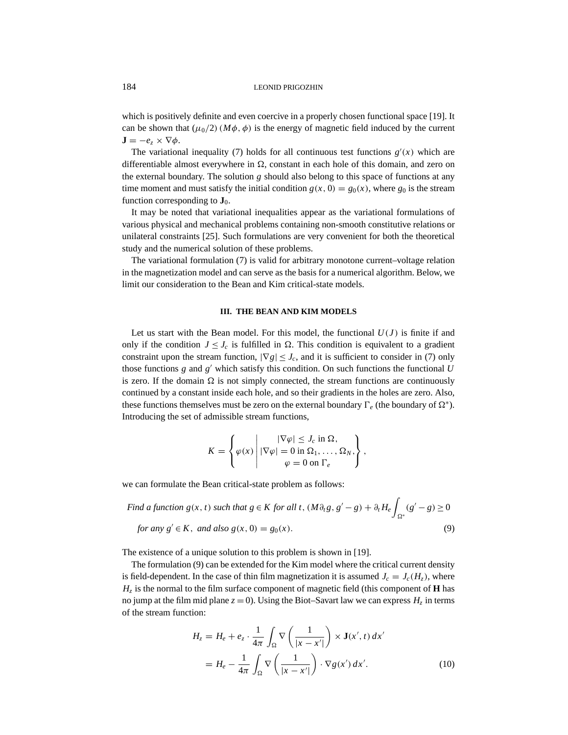which is positively definite and even coercive in a properly chosen functional space [19]. It can be shown that  $(\mu_0/2)$  ( $M\phi$ ,  $\phi$ ) is the energy of magnetic field induced by the current  $\mathbf{J} = -e_z \times \nabla \phi$ .

The variational inequality (7) holds for all continuous test functions  $g'(x)$  which are differentiable almost everywhere in  $\Omega$ , constant in each hole of this domain, and zero on the external boundary. The solution  $g$  should also belong to this space of functions at any time moment and must satisfy the initial condition  $g(x, 0) = g_0(x)$ , where  $g_0$  is the stream function corresponding to  $\mathbf{J}_0$ .

It may be noted that variational inequalities appear as the variational formulations of various physical and mechanical problems containing non-smooth constitutive relations or unilateral constraints [25]. Such formulations are very convenient for both the theoretical study and the numerical solution of these problems.

The variational formulation (7) is valid for arbitrary monotone current–voltage relation in the magnetization model and can serve as the basis for a numerical algorithm. Below, we limit our consideration to the Bean and Kim critical-state models.

### **III. THE BEAN AND KIM MODELS**

Let us start with the Bean model. For this model, the functional  $U(J)$  is finite if and only if the condition  $J \leq J_c$  is fulfilled in  $\Omega$ . This condition is equivalent to a gradient constraint upon the stream function,  $|\nabla g| \leq J_c$ , and it is sufficient to consider in (7) only those functions *g* and  $g'$  which satisfy this condition. On such functions the functional *U* is zero. If the domain  $\Omega$  is not simply connected, the stream functions are continuously continued by a constant inside each hole, and so their gradients in the holes are zero. Also, these functions themselves must be zero on the external boundary  $\Gamma_e$  (the boundary of  $\Omega^*$ ). Introducing the set of admissible stream functions,

$$
K = \left\{ \varphi(x) \middle| \left| \nabla \varphi \right| \leq J_c \text{ in } \Omega, \\ \varphi(x) \middle| \left| \nabla \varphi \right| = 0 \text{ in } \Omega_1, \dots, \Omega_N, \\ \varphi = 0 \text{ on } \Gamma_e \right\},
$$

we can formulate the Bean critical-state problem as follows:

Find a function 
$$
g(x, t)
$$
 such that  $g \in K$  for all  $t$ ,  $(M \partial_t g, g' - g) + \partial_t H_e \int_{\Omega^*} (g' - g) \ge 0$   
for any  $g' \in K$ , and also  $g(x, 0) = g_0(x)$ . (9)

The existence of a unique solution to this problem is shown in [19].

The formulation (9) can be extended for the Kim model where the critical current density is field-dependent. In the case of thin film magnetization it is assumed  $J_c = J_c(H_z)$ , where  $H<sub>z</sub>$  is the normal to the film surface component of magnetic field (this component of **H** has no jump at the film mid plane  $z = 0$ ). Using the Biot–Savart law we can express  $H<sub>z</sub>$  in terms of the stream function:

$$
H_z = H_e + e_z \cdot \frac{1}{4\pi} \int_{\Omega} \nabla \left( \frac{1}{|x - x'|} \right) \times \mathbf{J}(x', t) \, dx'
$$

$$
= H_e - \frac{1}{4\pi} \int_{\Omega} \nabla \left( \frac{1}{|x - x'|} \right) \cdot \nabla g(x') \, dx'. \tag{10}
$$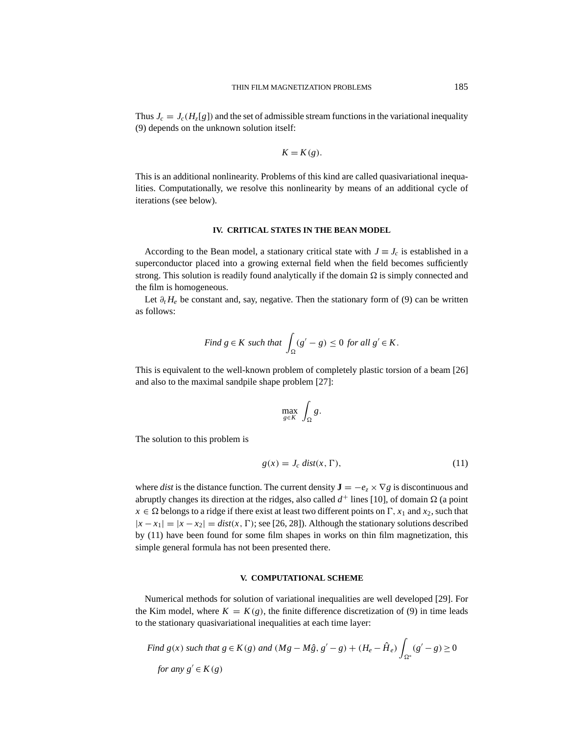Thus  $J_c = J_c(H_z[g])$  and the set of admissible stream functions in the variational inequality (9) depends on the unknown solution itself:

$$
K = K(g).
$$

This is an additional nonlinearity. Problems of this kind are called quasivariational inequalities. Computationally, we resolve this nonlinearity by means of an additional cycle of iterations (see below).

# **IV. CRITICAL STATES IN THE BEAN MODEL**

According to the Bean model, a stationary critical state with  $J \equiv J_c$  is established in a superconductor placed into a growing external field when the field becomes sufficiently strong. This solution is readily found analytically if the domain  $\Omega$  is simply connected and the film is homogeneous.

Let  $\partial_t H_e$  be constant and, say, negative. Then the stationary form of (9) can be written as follows:

Find 
$$
g \in K
$$
 such that  $\int_{\Omega} (g' - g) \le 0$  for all  $g' \in K$ .

This is equivalent to the well-known problem of completely plastic torsion of a beam [26] and also to the maximal sandpile shape problem [27]:

$$
\max_{g \in K} \int_{\Omega} g.
$$

The solution to this problem is

$$
g(x) = J_c \text{ dist}(x, \Gamma), \tag{11}
$$

where *dist* is the distance function. The current density  $\mathbf{J} = -e_z \times \nabla g$  is discontinuous and abruptly changes its direction at the ridges, also called  $d^+$  lines [10], of domain  $\Omega$  (a point  $x \in \Omega$  belongs to a ridge if there exist at least two different points on  $\Gamma$ ,  $x_1$  and  $x_2$ , such that  $|x - x_1| = |x - x_2| = \text{dist}(x, \Gamma)$ ; see [26, 28]). Although the stationary solutions described by (11) have been found for some film shapes in works on thin film magnetization, this simple general formula has not been presented there.

#### **V. COMPUTATIONAL SCHEME**

Numerical methods for solution of variational inequalities are well developed [29]. For the Kim model, where  $K = K(g)$ , the finite difference discretization of (9) in time leads to the stationary quasivariational inequalities at each time layer:

Find 
$$
g(x)
$$
 such that  $g \in K(g)$  and  $(Mg - M\hat{g}, g' - g) + (H_e - \hat{H}_e) \int_{\Omega^*} (g' - g) \ge 0$   
for any  $g' \in K(g)$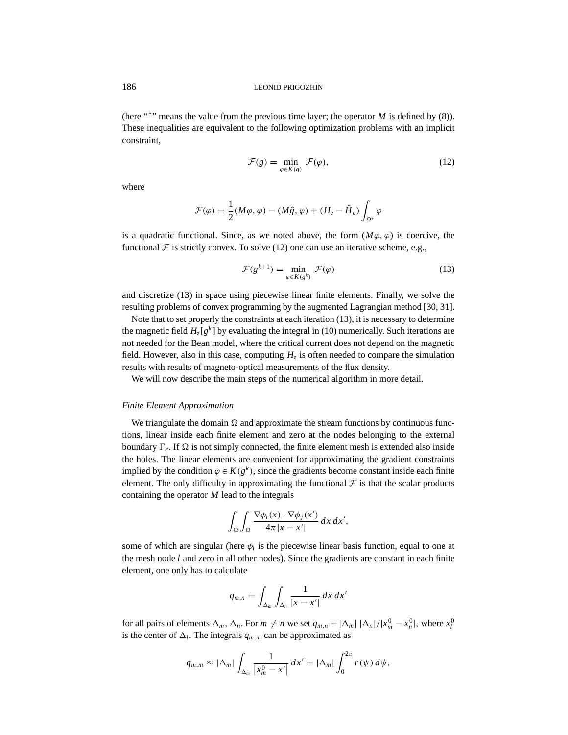(here " $\sim$ " means the value from the previous time layer; the operator *M* is defined by (8)). These inequalities are equivalent to the following optimization problems with an implicit constraint,

$$
\mathcal{F}(g) = \min_{\varphi \in K(g)} \mathcal{F}(\varphi),\tag{12}
$$

where

$$
\mathcal{F}(\varphi) = \frac{1}{2}(M\varphi, \varphi) - (M\hat{g}, \varphi) + (H_e - \hat{H}_e) \int_{\Omega^*} \varphi
$$

is a quadratic functional. Since, as we noted above, the form  $(M\varphi, \varphi)$  is coercive, the functional  $\mathcal F$  is strictly convex. To solve (12) one can use an iterative scheme, e.g.,

$$
\mathcal{F}(g^{k+1}) = \min_{\varphi \in K(g^k)} \mathcal{F}(\varphi) \tag{13}
$$

and discretize (13) in space using piecewise linear finite elements. Finally, we solve the resulting problems of convex programming by the augmented Lagrangian method [30, 31].

Note that to set properly the constraints at each iteration (13), it is necessary to determine the magnetic field  $H_{z}[g^{k}]$  by evaluating the integral in (10) numerically. Such iterations are not needed for the Bean model, where the critical current does not depend on the magnetic field. However, also in this case, computing  $H<sub>z</sub>$  is often needed to compare the simulation results with results of magneto-optical measurements of the flux density.

We will now describe the main steps of the numerical algorithm in more detail.

### *Finite Element Approximation*

We triangulate the domain  $\Omega$  and approximate the stream functions by continuous functions, linear inside each finite element and zero at the nodes belonging to the external boundary  $\Gamma_e$ . If  $\Omega$  is not simply connected, the finite element mesh is extended also inside the holes. The linear elements are convenient for approximating the gradient constraints implied by the condition  $\varphi \in K(g^k)$ , since the gradients become constant inside each finite element. The only difficulty in approximating the functional  $\mathcal F$  is that the scalar products containing the operator *M* lead to the integrals

$$
\int_{\Omega}\int_{\Omega}\frac{\nabla \phi_i(x)\cdot \nabla \phi_j(x')}{4\pi |x-x'|} dx dx',
$$

some of which are singular (here  $\phi_l$  is the piecewise linear basis function, equal to one at the mesh node *l* and zero in all other nodes). Since the gradients are constant in each finite element, one only has to calculate

$$
q_{m,n} = \int_{\Delta_m} \int_{\Delta_n} \frac{1}{|x - x'|} \, dx \, dx'
$$

for all pairs of elements  $\Delta_m$ ,  $\Delta_n$ . For  $m \neq n$  we set  $q_{m,n} = |\Delta_m| |\Delta_n|/|x_m^0 - x_n^0|$ , where  $x_l^0$ is the center of  $\Delta_l$ . The integrals  $q_{m,m}$  can be approximated as

$$
q_{m,m} \approx |\Delta_m| \int_{\Delta_m} \frac{1}{|x_m^0 - x'|} dx' = |\Delta_m| \int_0^{2\pi} r(\psi) d\psi,
$$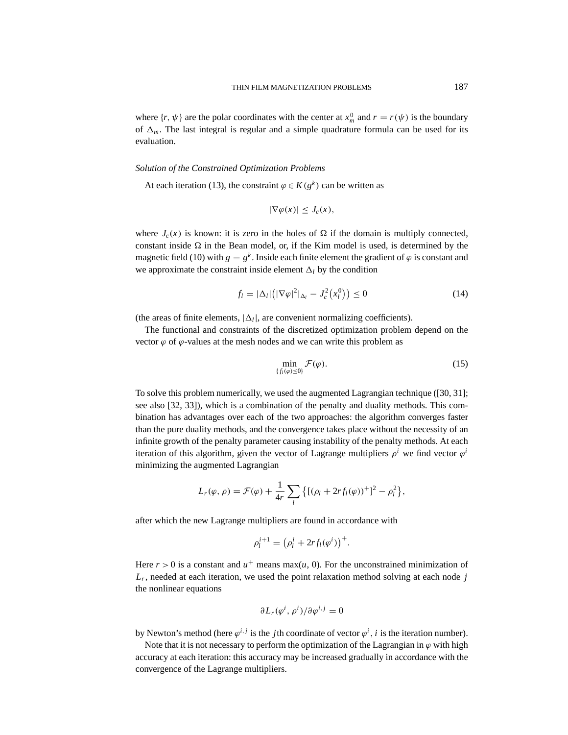where  $\{r, \psi\}$  are the polar coordinates with the center at  $x_m^0$  and  $r = r(\psi)$  is the boundary of  $\Delta_m$ . The last integral is regular and a simple quadrature formula can be used for its evaluation.

# *Solution of the Constrained Optimization Problems*

At each iteration (13), the constraint  $\varphi \in K(g^k)$  can be written as

$$
|\nabla \varphi(x)| \le J_c(x),
$$

where  $J_c(x)$  is known: it is zero in the holes of  $\Omega$  if the domain is multiply connected, constant inside  $\Omega$  in the Bean model, or, if the Kim model is used, is determined by the magnetic field (10) with  $g = g^k$ . Inside each finite element the gradient of  $\varphi$  is constant and we approximate the constraint inside element  $\Delta_l$  by the condition

$$
f_l = |\Delta_l| \left( |\nabla \varphi|^2|_{\Delta_l} - J_c^2(x_l^0) \right) \le 0 \tag{14}
$$

(the areas of finite elements,  $|\Delta_l|$ , are convenient normalizing coefficients).

The functional and constraints of the discretized optimization problem depend on the vector  $\varphi$  of  $\varphi$ -values at the mesh nodes and we can write this problem as

$$
\min_{\{f_l(\varphi)\leq 0\}} \mathcal{F}(\varphi). \tag{15}
$$

To solve this problem numerically, we used the augmented Lagrangian technique ([30, 31]; see also [32, 33]), which is a combination of the penalty and duality methods. This combination has advantages over each of the two approaches: the algorithm converges faster than the pure duality methods, and the convergence takes place without the necessity of an infinite growth of the penalty parameter causing instability of the penalty methods. At each iteration of this algorithm, given the vector of Lagrange multipliers  $\rho^i$  we find vector  $\varphi^i$ minimizing the augmented Lagrangian

$$
L_r(\varphi,\rho)=\mathcal{F}(\varphi)+\frac{1}{4r}\sum_l\big\{[(\rho_l+2rf_l(\varphi))^+]^2-\rho_l^2\big\},\,
$$

after which the new Lagrange multipliers are found in accordance with

$$
\rho_l^{i+1} = \left(\rho_l^i + 2rf_l(\varphi^i)\right)^+.
$$

Here  $r > 0$  is a constant and  $u^+$  means max(*u*, 0). For the unconstrained minimization of  $L_r$ , needed at each iteration, we used the point relaxation method solving at each node *j* the nonlinear equations

$$
\partial L_r(\varphi^i, \rho^i)/\partial \varphi^{i,j} = 0
$$

by Newton's method (here  $\varphi^{i,j}$  is the *j*th coordinate of vector  $\varphi^i$ , *i* is the iteration number).

Note that it is not necessary to perform the optimization of the Lagrangian in  $\varphi$  with high accuracy at each iteration: this accuracy may be increased gradually in accordance with the convergence of the Lagrange multipliers.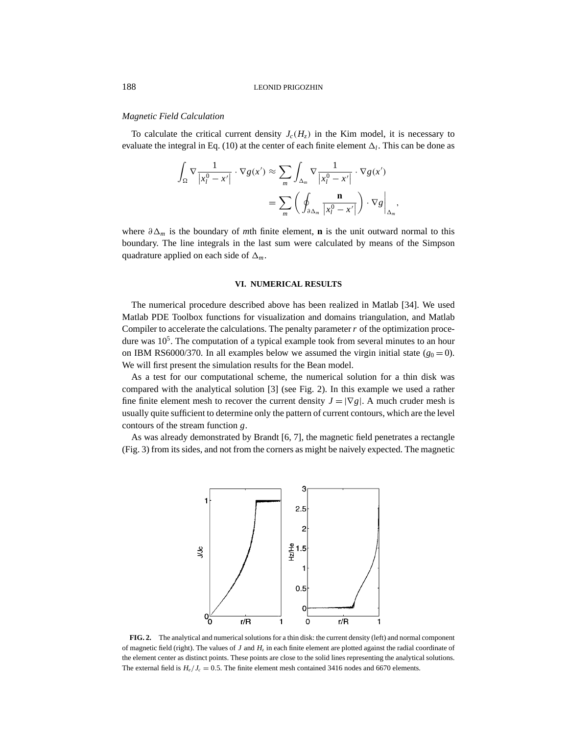## *Magnetic Field Calculation*

To calculate the critical current density  $J_c(H_z)$  in the Kim model, it is necessary to evaluate the integral in Eq. (10) at the center of each finite element  $\Delta_l$ . This can be done as

$$
\int_{\Omega} \nabla \frac{1}{|x_l^0 - x'|} \cdot \nabla g(x') \approx \sum_{m} \int_{\Delta_m} \nabla \frac{1}{|x_l^0 - x'|} \cdot \nabla g(x')
$$

$$
= \sum_{m} \left( \oint_{\partial \Delta_m} \frac{\mathbf{n}}{|x_l^0 - x'|} \right) \cdot \nabla g \Big|_{\Delta_m},
$$

where  $\partial \Delta_m$  is the boundary of *m*th finite element, **n** is the unit outward normal to this boundary. The line integrals in the last sum were calculated by means of the Simpson quadrature applied on each side of  $\Delta_m$ .

#### **VI. NUMERICAL RESULTS**

The numerical procedure described above has been realized in Matlab [34]. We used Matlab PDE Toolbox functions for visualization and domains triangulation, and Matlab Compiler to accelerate the calculations. The penalty parameter*r* of the optimization procedure was  $10<sup>5</sup>$ . The computation of a typical example took from several minutes to an hour on IBM RS6000/370. In all examples below we assumed the virgin initial state  $(g_0 = 0)$ . We will first present the simulation results for the Bean model.

As a test for our computational scheme, the numerical solution for a thin disk was compared with the analytical solution [3] (see Fig. 2). In this example we used a rather fine finite element mesh to recover the current density  $J = |\nabla g|$ . A much cruder mesh is usually quite sufficient to determine only the pattern of current contours, which are the level contours of the stream function *g*.

As was already demonstrated by Brandt [6, 7], the magnetic field penetrates a rectangle (Fig. 3) from its sides, and not from the corners as might be naively expected. The magnetic



**FIG. 2.** The analytical and numerical solutions for a thin disk: the current density (left) and normal component of magnetic field (right). The values of *J* and  $H<sub>z</sub>$  in each finite element are plotted against the radial coordinate of the element center as distinct points. These points are close to the solid lines representing the analytical solutions. The external field is  $H_e/I_c = 0.5$ . The finite element mesh contained 3416 nodes and 6670 elements.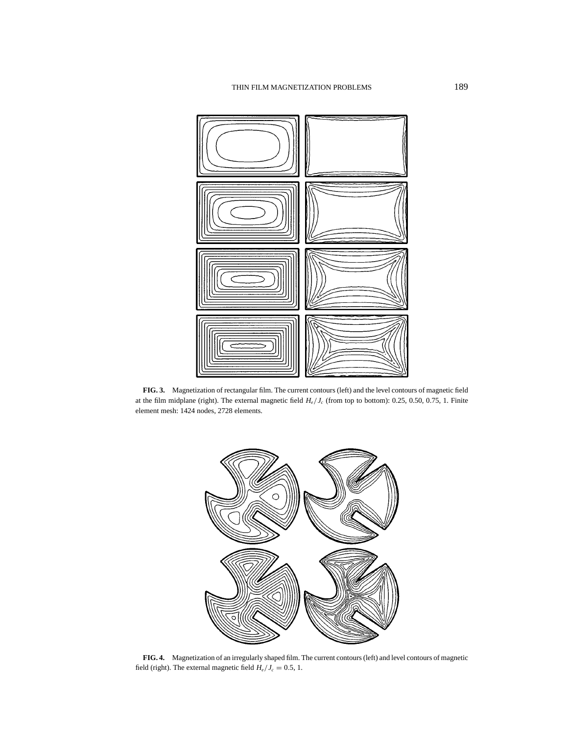

**FIG. 3.** Magnetization of rectangular film. The current contours (left) and the level contours of magnetic field at the film midplane (right). The external magnetic field *He*/*Jc* (from top to bottom): 0.25, 0.50, 0.75, 1. Finite element mesh: 1424 nodes, 2728 elements.



**FIG. 4.** Magnetization of an irregularly shaped film. The current contours (left) and level contours of magnetic field (right). The external magnetic field  $H_e/J_c = 0.5, 1$ .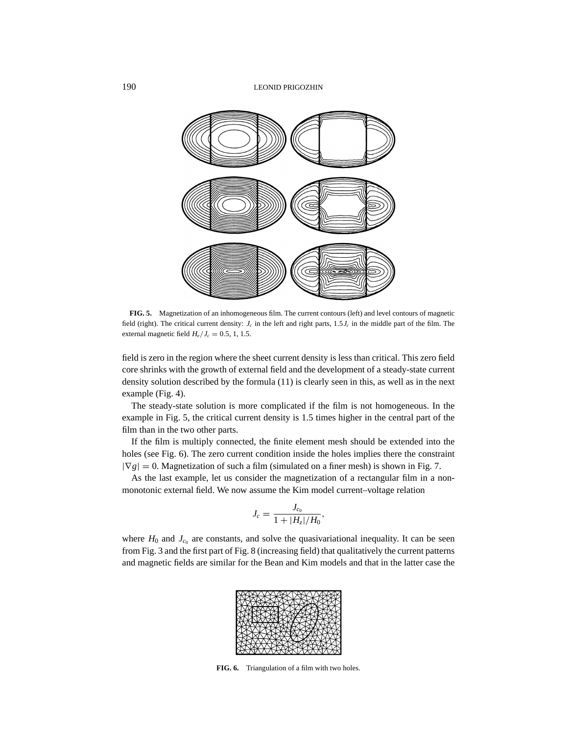

**FIG. 5.** Magnetization of an inhomogeneous film. The current contours (left) and level contours of magnetic field (right). The critical current density:  $J_c$  in the left and right parts,  $1.5J_c$  in the middle part of the film. The external magnetic field  $H_e/J_c = 0.5, 1, 1.5$ .

field is zero in the region where the sheet current density is less than critical. This zero field core shrinks with the growth of external field and the development of a steady-state current density solution described by the formula (11) is clearly seen in this, as well as in the next example (Fig. 4).

The steady-state solution is more complicated if the film is not homogeneous. In the example in Fig. 5, the critical current density is 1.5 times higher in the central part of the film than in the two other parts.

If the film is multiply connected, the finite element mesh should be extended into the holes (see Fig. 6). The zero current condition inside the holes implies there the constraint  $|\nabla g| = 0$ . Magnetization of such a film (simulated on a finer mesh) is shown in Fig. 7.

As the last example, let us consider the magnetization of a rectangular film in a nonmonotonic external field. We now assume the Kim model current–voltage relation

$$
J_c = \frac{J_{c_0}}{1 + |H_z|/H_0},
$$

where  $H_0$  and  $J_{c_0}$  are constants, and solve the quasivariational inequality. It can be seen from Fig. 3 and the first part of Fig. 8 (increasing field) that qualitatively the current patterns and magnetic fields are similar for the Bean and Kim models and that in the latter case the



**FIG. 6.** Triangulation of a film with two holes.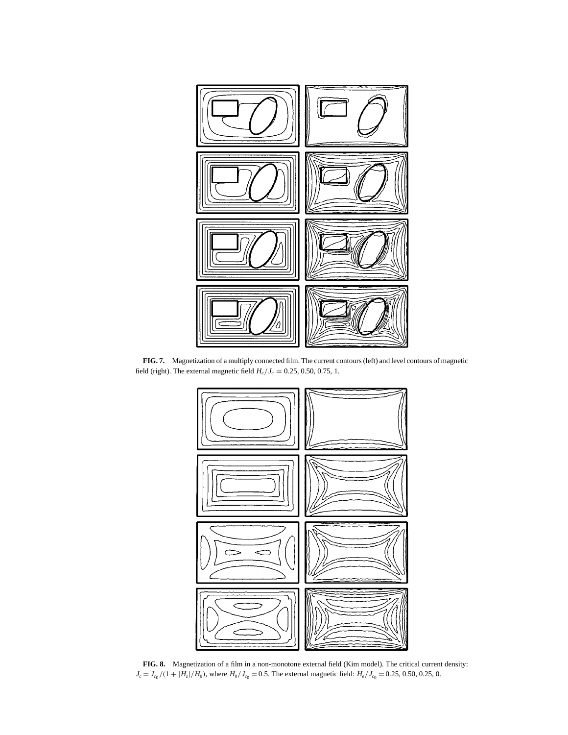

**FIG. 7.** Magnetization of a multiply connected film. The current contours (left) and level contours of magnetic field (right). The external magnetic field  $H_e/I_c = 0.25, 0.50, 0.75, 1$ .



**FIG. 8.** Magnetization of a film in a non-monotone external field (Kim model). The critical current density:  $J_c = J_{c0}/(1 + |H_z|/H_0)$ , where  $H_0/J_{c0} = 0.5$ . The external magnetic field:  $H_e/J_{c0} = 0.25, 0.50, 0.25, 0.50$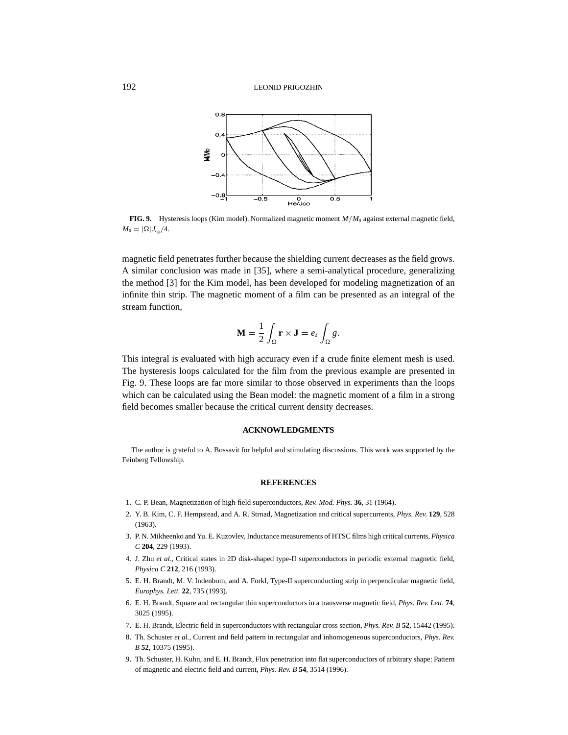

**FIG. 9.** Hysteresis loops (Kim model). Normalized magnetic moment *M*/*M*<sup>0</sup> against external magnetic field,  $M_0 = |\Omega| J_{c_0} / 4.$ 

magnetic field penetrates further because the shielding current decreases as the field grows. A similar conclusion was made in [35], where a semi-analytical procedure, generalizing the method [3] for the Kim model, has been developed for modeling magnetization of an infinite thin strip. The magnetic moment of a film can be presented as an integral of the stream function,

$$
\mathbf{M} = \frac{1}{2} \int_{\Omega} \mathbf{r} \times \mathbf{J} = e_z \int_{\Omega} g.
$$

This integral is evaluated with high accuracy even if a crude finite element mesh is used. The hysteresis loops calculated for the film from the previous example are presented in Fig. 9. These loops are far more similar to those observed in experiments than the loops which can be calculated using the Bean model: the magnetic moment of a film in a strong field becomes smaller because the critical current density decreases.

## **ACKNOWLEDGMENTS**

The author is grateful to A. Bossavit for helpful and stimulating discussions. This work was supported by the Feinberg Fellowship.

#### **REFERENCES**

- 1. C. P. Bean, Magnetization of high-field superconductors, *Rev. Mod. Phys.* **36**, 31 (1964).
- 2. Y. B. Kim, C. F. Hempstead, and A. R. Strnad, Magnetization and critical supercurrents, *Phys. Rev.* **129**, 528 (1963).
- 3. P. N. Mikheenko and Yu. E. Kuzovlev, Inductance measurements of HTSC films high critical currents, *Physica C* **204**, 229 (1993).
- 4. J. Zhu *et al*., Critical states in 2D disk-shaped type-II superconductors in periodic external magnetic field, *Physica C* **212**, 216 (1993).
- 5. E. H. Brandt, M. V. Indenbom, and A. Forkl, Type-II superconducting strip in perpendicular magnetic field, *Europhys. Lett.* **22**, 735 (1993).
- 6. E. H. Brandt, Square and rectangular thin superconductors in a transverse magnetic field, *Phys. Rev. Lett.* **74**, 3025 (1995).
- 7. E. H. Brandt, Electric field in superconductors with rectangular cross section, *Phys. Rev. B* **52**, 15442 (1995).
- 8. Th. Schuster *et al.*, Current and field pattern in rectangular and inhomogeneous superconductors, *Phys. Rev. B* **52**, 10375 (1995).
- 9. Th. Schuster, H. Kuhn, and E. H. Brandt, Flux penetration into flat superconductors of arbitrary shape: Pattern of magnetic and electric field and current, *Phys. Rev. B* **54**, 3514 (1996).